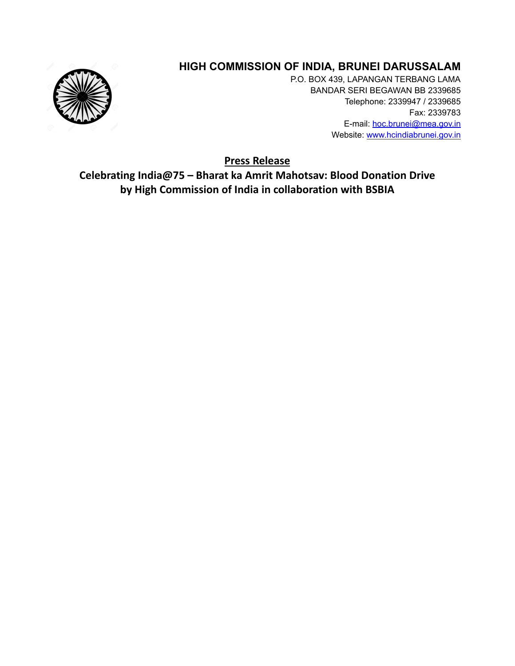## **HIGH COMMISSION OF INDIA, BRUNEI DARUSSALAM**



P.O. BOX 439, LAPANGAN TERBANG LAMA BANDAR SERI BEGAWAN BB 2339685 Telephone: 2339947 / 2339685 Fax: 2339783 E-mail: hoc.brunei@mea.gov.in Website: www.hcindiabrunei.gov.in

**Press Release**

**Celebrating India@75 – Bharat ka Amrit Mahotsav: Blood Donation Drive by High Commission of India in collaboration with BSBIA**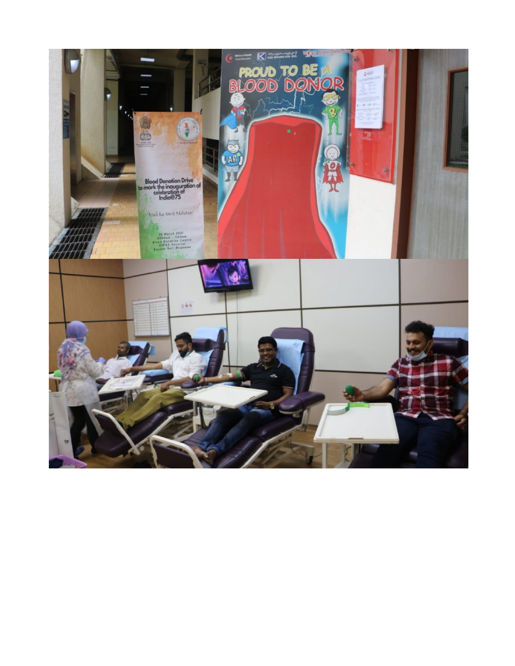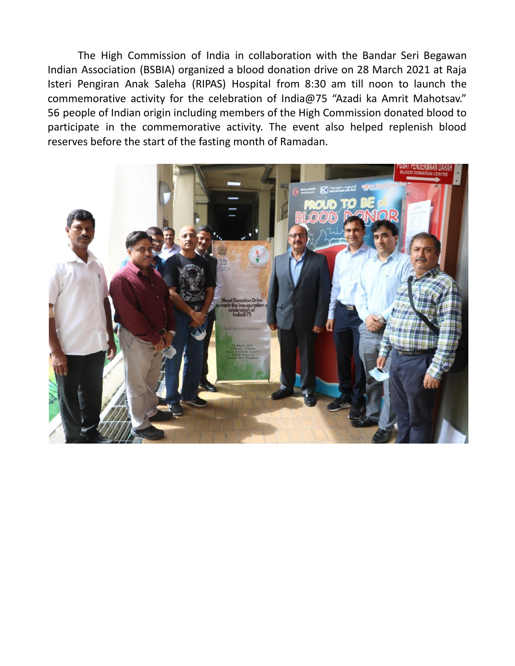The High Commission of India in collaboration with the Bandar Seri Begawan Indian Association (BSBIA) organized a blood donation drive on 28 March 2021 at Raja Isteri Pengiran Anak Saleha (RIPAS) Hospital from 8:30 am till noon to launch the commemorative activity for the celebration of India@75 "Azadi ka Amrit Mahotsav." 56 people of Indian origin including members of the High Commission donated blood to participate in the commemorative activity. The event also helped replenish blood reserves before the start of the fasting month of Ramadan.

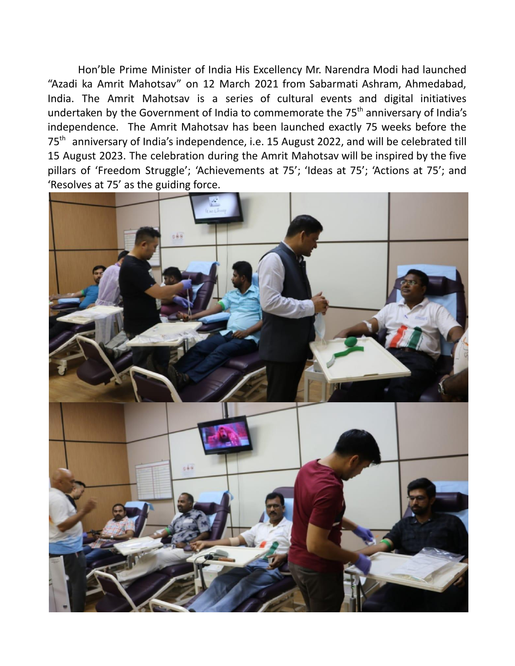Hon'ble Prime Minister of India His Excellency Mr. Narendra Modi had launched "Azadi ka Amrit Mahotsav" on 12 March 2021 from Sabarmati Ashram, Ahmedabad, India. The Amrit Mahotsav is a series of cultural events and digital initiatives undertaken by the Government of India to commemorate the 75<sup>th</sup> anniversary of India's independence. The Amrit Mahotsav has been launched exactly 75 weeks before the 75<sup>th</sup> anniversary of India's independence, i.e. 15 August 2022, and will be celebrated till 15 August 2023. The celebration during the Amrit Mahotsav will be inspired by the five pillars of 'Freedom Struggle'; 'Achievements at 75'; 'Ideas at 75'; 'Actions at 75'; and 'Resolves at 75' as the guiding force.

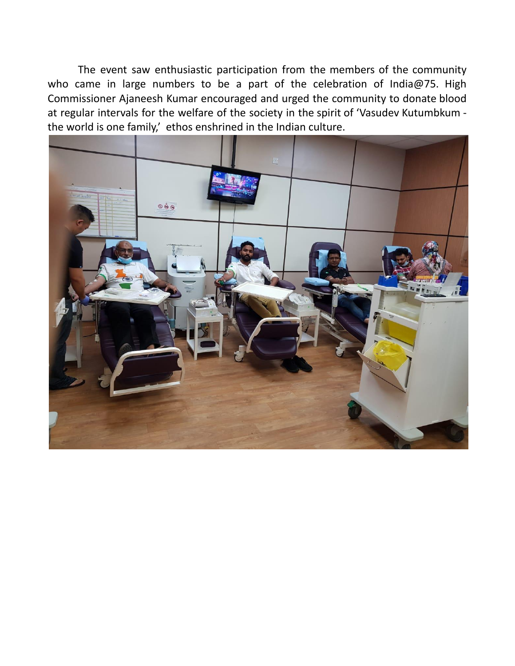The event saw enthusiastic participation from the members of the community who came in large numbers to be a part of the celebration of India@75. High Commissioner Ajaneesh Kumar encouraged and urged the community to donate blood at regular intervals for the welfare of the society in the spirit of 'Vasudev Kutumbkum the world is one family,' ethos enshrined in the Indian culture.